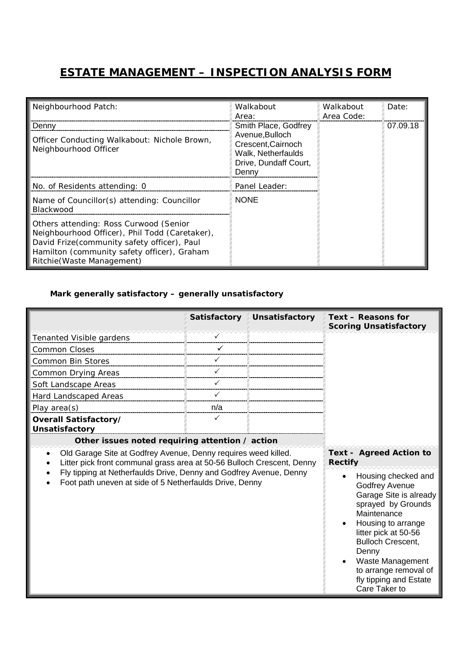## **ESTATE MANAGEMENT – INSPECTION ANALYSIS FORM**

| Neighbourhood Patch:                                                                                                                                                                                                 | Walkabout<br>Area:                                                                                                    | Walkabout<br>Area Code: | Date:    |
|----------------------------------------------------------------------------------------------------------------------------------------------------------------------------------------------------------------------|-----------------------------------------------------------------------------------------------------------------------|-------------------------|----------|
| Denny<br>Officer Conducting Walkabout: Nichole Brown,<br>Neighbourhood Officer                                                                                                                                       | Smith Place, Godfrey<br>Avenue, Bulloch<br>Crescent, Cairnoch<br>Walk, Netherfaulds<br>Drive, Dundaff Court,<br>Denny |                         | 07.09.18 |
| No. of Residents attending: 0                                                                                                                                                                                        | Panel Leader:                                                                                                         |                         |          |
| Name of Councillor(s) attending: Councillor<br>Blackwood                                                                                                                                                             | <b>NONE</b>                                                                                                           |                         |          |
| Others attending: Ross Curwood (Senior<br>Neighbourhood Officer), Phil Todd (Caretaker),<br>David Frize(community safety officer), Paul<br>Hamilton (community safety officer), Graham<br>Ritchie (Waste Management) |                                                                                                                       |                         |          |

## *Mark generally satisfactory – generally unsatisfactory*

|                                                                                                                                          | <b>Satisfactory</b> | Unsatisfactory                                                                                                                                                                                                                                                                         | Text - Reasons for<br><b>Scoring Unsatisfactory</b> |
|------------------------------------------------------------------------------------------------------------------------------------------|---------------------|----------------------------------------------------------------------------------------------------------------------------------------------------------------------------------------------------------------------------------------------------------------------------------------|-----------------------------------------------------|
| Tenanted Visible gardens                                                                                                                 |                     |                                                                                                                                                                                                                                                                                        |                                                     |
| Common Closes                                                                                                                            |                     |                                                                                                                                                                                                                                                                                        |                                                     |
| <b>Common Bin Stores</b>                                                                                                                 |                     |                                                                                                                                                                                                                                                                                        |                                                     |
| Common Drying Areas                                                                                                                      | ✓                   |                                                                                                                                                                                                                                                                                        |                                                     |
| Soft Landscape Areas                                                                                                                     |                     |                                                                                                                                                                                                                                                                                        |                                                     |
| Hard Landscaped Areas                                                                                                                    | ✓                   |                                                                                                                                                                                                                                                                                        |                                                     |
| Play area $(s)$                                                                                                                          | n/a                 |                                                                                                                                                                                                                                                                                        |                                                     |
| Overall Satisfactory/                                                                                                                    | $\checkmark$        |                                                                                                                                                                                                                                                                                        |                                                     |
| <b>Unsatisfactory</b>                                                                                                                    |                     |                                                                                                                                                                                                                                                                                        |                                                     |
| Other issues noted requiring attention / action                                                                                          |                     |                                                                                                                                                                                                                                                                                        |                                                     |
| Old Garage Site at Godfrey Avenue, Denny requires weed killed.<br>Litter pick front communal grass area at 50-56 Bulloch Crescent, Denny |                     |                                                                                                                                                                                                                                                                                        | <b>Text - Agreed Action to</b><br><b>Rectify</b>    |
| Fly tipping at Netherfaulds Drive, Denny and Godfrey Avenue, Denny<br>Foot path uneven at side of 5 Netherfaulds Drive, Denny            |                     | Housing checked and<br><b>Godfrey Avenue</b><br>Garage Site is already<br>sprayed by Grounds<br>Maintenance<br>Housing to arrange<br>litter pick at 50-56<br><b>Bulloch Crescent,</b><br>Denny<br>Waste Management<br>to arrange removal of<br>fly tipping and Estate<br>Care Taker to |                                                     |